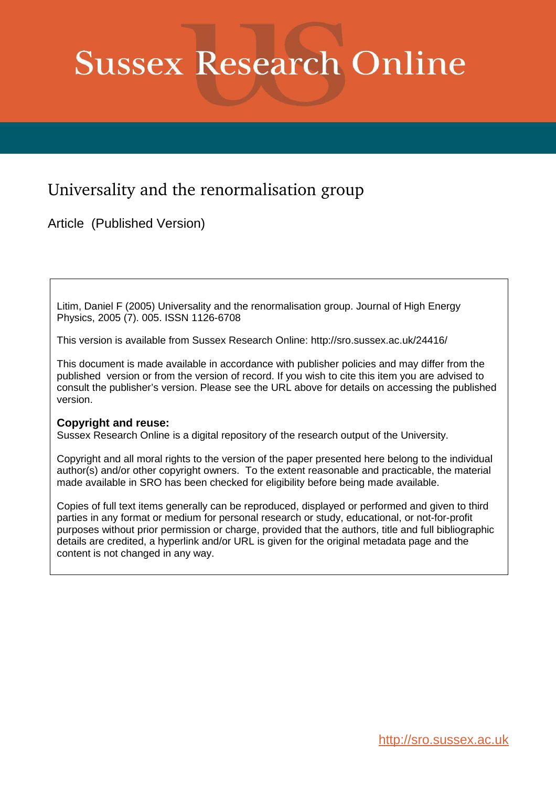# **Sussex Research Online**

## Universality and the renormalisation group

Article (Published Version)

Litim, Daniel F (2005) Universality and the renormalisation group. Journal of High Energy Physics, 2005 (7). 005. ISSN 1126-6708

This version is available from Sussex Research Online: http://sro.sussex.ac.uk/24416/

This document is made available in accordance with publisher policies and may differ from the published version or from the version of record. If you wish to cite this item you are advised to consult the publisher's version. Please see the URL above for details on accessing the published version.

#### **Copyright and reuse:**

Sussex Research Online is a digital repository of the research output of the University.

Copyright and all moral rights to the version of the paper presented here belong to the individual author(s) and/or other copyright owners. To the extent reasonable and practicable, the material made available in SRO has been checked for eligibility before being made available.

Copies of full text items generally can be reproduced, displayed or performed and given to third parties in any format or medium for personal research or study, educational, or not-for-profit purposes without prior permission or charge, provided that the authors, title and full bibliographic details are credited, a hyperlink and/or URL is given for the original metadata page and the content is not changed in any way.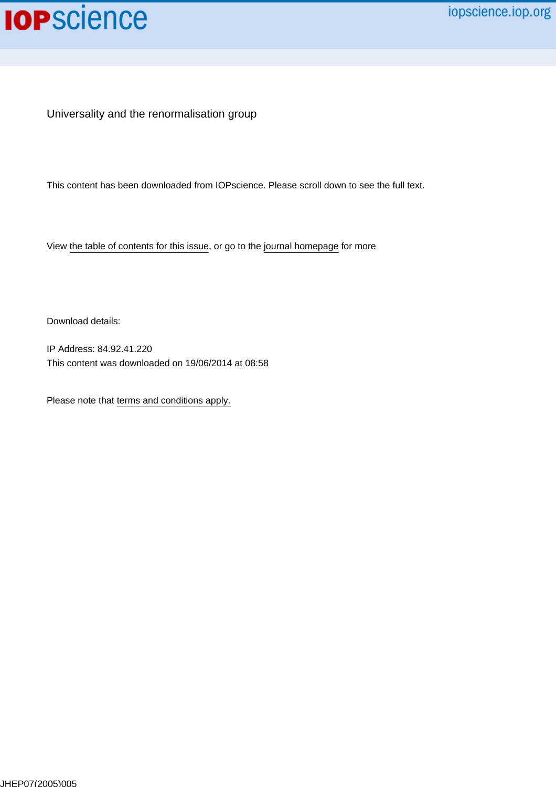## **IOP**science

Universality and the renormalisation group

This content has been downloaded from IOPscience. Please scroll down to see the full text.

View [the table of contents for this issue](http://iopscience.iop.org/1126-6708/2005/07), or go to the [journal homepage](http://iopscience.iop.org/1126-6708) for more

Download details:

IP Address: 84.92.41.220 This content was downloaded on 19/06/2014 at 08:58

Please note that [terms and conditions apply.](iopscience.iop.org/page/terms)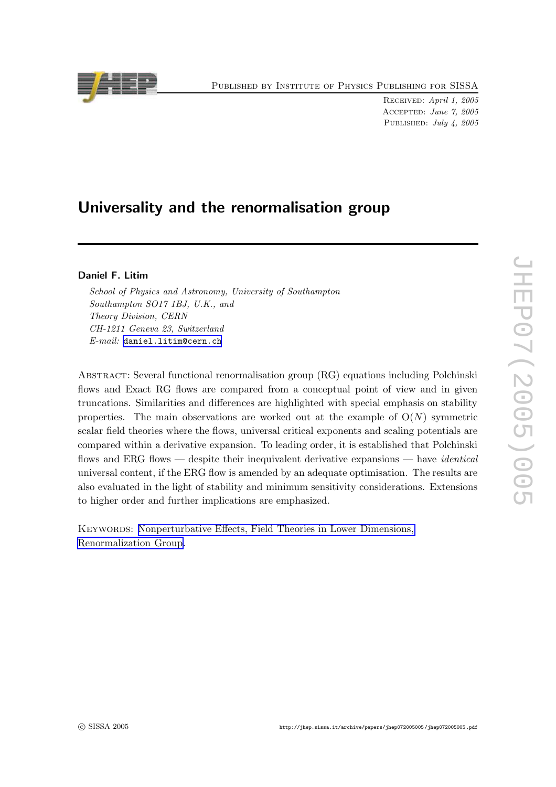<span id="page-2-0"></span>

Published by Institute of Physics Publishing for SISSA

Received: April 1, 2005 Accepted: June 7, 2005 PUBLISHED: July 4, 2005

### Universality and the renormalisation group

#### Daniel F. Litim

School of Physics and Astronomy, University of Southampton Southampton SO17 1BJ, U.K., and Theory Division, CERN CH-1211 Geneva 23, Switzerland E-mail: [daniel.litim@cern.ch](mailto:daniel.litim@cern.ch)

Abstract: Several functional renormalisation group (RG) equations including Polchinski flows and Exact RG flows are compared from a conceptual point of view and in given truncations. Similarities and differences are highlighted with special emphasis on stability properties. The main observations are worked out at the example of  $O(N)$  symmetric scalar field theories where the flows, universal critical exponents and scaling potentials are compared within a derivative expansion. To leading order, it is established that Polchinski flows and ERG flows — despite their inequivalent derivative expansions — have *identical* universal content, if the ERG flow is amended by an adequate optimisation. The results are also evaluated in the light of stability and minimum sensitivity considerations. Extensions to higher order and further implications are emphasized.

Keywords: [Nonperturbative Effects, Field Theories in Lower Dimensions,](http://jhep.sissa.it/stdsearch) [Renormalization Group.](http://jhep.sissa.it/stdsearch)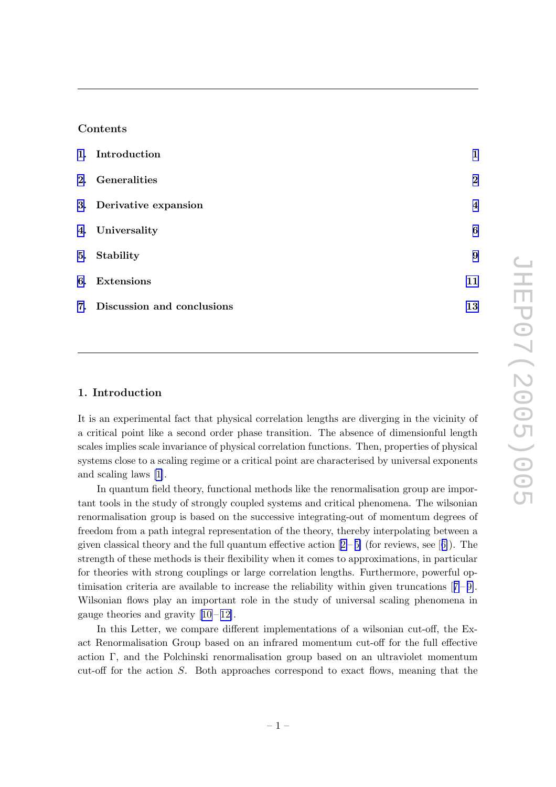#### <span id="page-3-0"></span>**Contents**

| 1. Introduction               | 1                       |
|-------------------------------|-------------------------|
| 2. Generalities               | $\overline{2}$          |
| 3. Derivative expansion       | $\overline{\mathbf{4}}$ |
| 4. Universality               | 6                       |
| 5. Stability                  | 9                       |
| 6. Extensions                 | 11                      |
| 7. Discussion and conclusions | 13                      |

#### 1. Introduction

It is an experimental fact that physical correlation lengths are diverging in the vicinity of a critical point like a second order phase transition. The absence of dimensionful length scales implies scale invariance of physical correlation functions. Then, properties of physical systems close to a scaling regime or a critical point are characterised by universal exponents and scaling laws [\[1\]](#page-15-0).

In quantum field theory, functional methods like the renormalisation group are important tools in the study of strongly coupled systems and critical phenomena. The wilsonian renormalisation group is based on the successive integrating-out of momentum degrees of freedom from a path integral representation of the theory, thereby interpolating between a given classical theory and the full quantum effective action  $[2-5]$  $[2-5]$  $[2-5]$  $[2-5]$  (for reviews, see [[6\]](#page-15-0)). The strength of these methods is their flexibility when it comes to approximations, in particular for theories with strong couplings or large correlation lengths. Furthermore, powerful optimisation criteria are available to increase the reliability within given truncations  $[7-9]$  $[7-9]$  $[7-9]$  $[7-9]$ . Wilsonian flows play an important role in the study of universal scaling phenomena in gaugetheories and gravity  $[10-12]$  $[10-12]$  $[10-12]$  $[10-12]$ .

In this Letter, we compare different implementations of a wilsonian cut-off, the Exact Renormalisation Group based on an infrared momentum cut-off for the full effective action  $\Gamma$ , and the Polchinski renormalisation group based on an ultraviolet momentum cut-off for the action S. Both approaches correspond to exact flows, meaning that the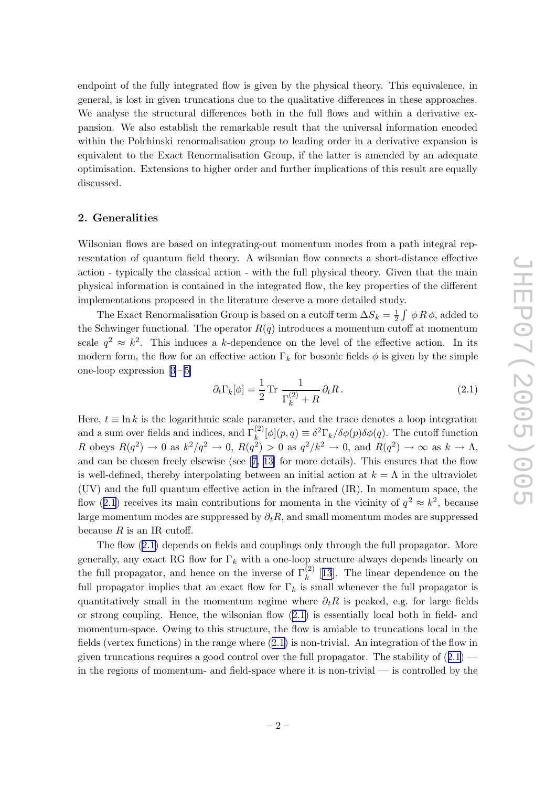<span id="page-4-0"></span>endpoint of the fully integrated flow is given by the physical theory. This equivalence, in general, is lost in given truncations due to the qualitative differences in these approaches. We analyse the structural differences both in the full flows and within a derivative expansion. We also establish the remarkable result that the universal information encoded within the Polchinski renormalisation group to leading order in a derivative expansion is equivalent to the Exact Renormalisation Group, if the latter is amended by an adequate optimisation. Extensions to higher order and further implications of this result are equally discussed.

#### 2. Generalities

Wilsonian flows are based on integrating-out momentum modes from a path integral representation of quantum field theory. A wilsonian flow connects a short-distance effective action - typically the classical action - with the full physical theory. Given that the main physical information is contained in the integrated flow, the key properties of the different implementations proposed in the literature deserve a more detailed study.

The Exact Renormalisation Group is based on a cutoff term  $\Delta S_k = \frac{1}{2} \int \phi R \phi$ , added to the Schwinger functional. The operator  $R(q)$  introduces a momentum cutoff at momentum scale  $q^2 \approx k^2$ . This induces a k-dependence on the level of the effective action. In its modern form, the flow for an effective action  $\Gamma_k$  for bosonic fields  $\phi$  is given by the simple one-loopexpression  $[3-5]$  $[3-5]$  $[3-5]$  $[3-5]$ 

$$
\partial_t \Gamma_k[\phi] = \frac{1}{2} \operatorname{Tr} \frac{1}{\Gamma_k^{(2)} + R} \partial_t R \,. \tag{2.1}
$$

Here,  $t \equiv \ln k$  is the logarithmic scale parameter, and the trace denotes a loop integration and a sum over fields and indices, and  $\Gamma_k^{(2)}[\phi](p,q) \equiv \delta^2 \Gamma_k/\delta \phi(p) \delta \phi(q)$ . The cutoff function R obeys  $R(q^2) \to 0$  as  $k^2/q^2 \to 0$ ,  $R(q^2) > 0$  as  $q^2/k^2 \to 0$ , and  $R(q^2) \to \infty$  as  $k \to \Lambda$ , and can be chosen freely elsewise (see[[7,](#page-15-0) [13\]](#page-16-0) for more details). This ensures that the flow is well-defined, thereby interpolating between an initial action at  $k = \Lambda$  in the ultraviolet (UV) and the full quantum effective action in the infrared (IR). In momentum space, the flow ([2.1](#page-3-0)) receives its main contributions for momenta in the vicinity of  $q^2 \approx k^2$ , because large momentum modes are suppressed by  $\partial_t R,$  and small momentum modes are suppressed because  $R$  is an IR cutoff.

The flow  $(2.1)$  depends on fields and couplings only through the full propagator. More generally, any exact RG flow for  $\Gamma_k$  with a one-loop structure always depends linearly on the full propagator, and hence on the inverse of  $\Gamma_k^{(2)}$  [[13](#page-16-0)]. The linear dependence on the full propagator implies that an exact flow for  $\Gamma_k$  is small whenever the full propagator is quantitatively small in the momentum regime where  $\partial_t R$  is peaked, e.g. for large fields or strong coupling. Hence, the wilsonian flow ([2.1\)](#page-3-0) is essentially local both in field- and momentum-space. Owing to this structure, the flow is amiable to truncations local in the fields (vertex functions) in the range where ([2.1\)](#page-3-0) is non-trivial. An integration of the flow in given truncations requires a good control over the full propagator. The stability of  $(2.1)$  $(2.1)$ in the regions of momentum- and field-space where it is non-trivial — is controlled by the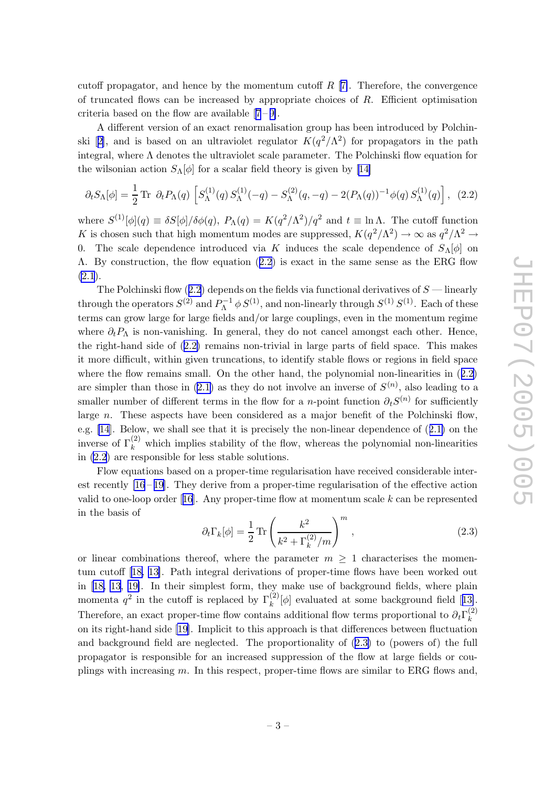<span id="page-5-0"></span>cutoff propagator, and hence by the momentum cutoff R [[7\]](#page-15-0). Therefore, the convergence of truncated flows can be increased by appropriate choices of R. Efficient optimisation criteriabased on the flow are available  $[7-9]$  $[7-9]$  $[7-9]$  $[7-9]$ .

A different version of an exact renormalisation group has been introduced by Polchin-ski[[2\]](#page-15-0), and is based on an ultraviolet regulator  $K(q^2/\Lambda^2)$  for propagators in the path integral, where  $\Lambda$  denotes the ultraviolet scale parameter. The Polchinski flow equation for the wilsonian action  $S_{\Lambda}[\phi]$  for a scalar field theory is given by [\[14\]](#page-16-0)

$$
\partial_t S_{\Lambda}[\phi] = \frac{1}{2} \text{Tr } \partial_t P_{\Lambda}(q) \left[ S_{\Lambda}^{(1)}(q) S_{\Lambda}^{(1)}(-q) - S_{\Lambda}^{(2)}(q, -q) - 2(P_{\Lambda}(q))^{-1} \phi(q) S_{\Lambda}^{(1)}(q) \right], \tag{2.2}
$$

where  $S^{(1)}[\phi](q) \equiv \delta S[\phi]/\delta \phi(q)$ ,  $P_{\Lambda}(q) = K(q^2/\Lambda^2)/q^2$  and  $t \equiv \ln \Lambda$ . The cutoff function K is chosen such that high momentum modes are suppressed,  $K(q^2/\Lambda^2) \to \infty$  as  $q^2/\Lambda^2 \to$ 0. The scale dependence introduced via K induces the scale dependence of  $S_{\Lambda}[\phi]$  on  $\Lambda$ . By construction, the flow equation ([2.2](#page-4-0)) is exact in the same sense as the ERG flow  $(2.1).$  $(2.1).$ 

The Polchinski flow  $(2.2)$  $(2.2)$  $(2.2)$  depends on the fields via functional derivatives of  $S$  — linearly through the operators  $S^{(2)}$  and  $P_{\Lambda}^{-1}$  $S^{(1)} \circ S^{(1)}$ , and non-linearly through  $S^{(1)} S^{(1)}$ . Each of these terms can grow large for large fields and/or large couplings, even in the momentum regime where  $\partial_t P_\Lambda$  is non-vanishing. In general, they do not cancel amongst each other. Hence, the right-hand side of ([2.2\)](#page-4-0) remains non-trivial in large parts of field space. This makes it more difficult, within given truncations, to identify stable flows or regions in field space where the flow remains small. On the other hand, the polynomial non-linearities in  $(2.2)$  $(2.2)$ are simpler than those in [\(2.1\)](#page-3-0) as they do not involve an inverse of  $S^{(n)}$ , also leading to a smaller number of different terms in the flow for a *n*-point function  $\partial_t S^{(n)}$  for sufficiently large *n*. These aspects have been considered as a major benefit of the Polchinski flow, e.g. [\[14](#page-16-0)]. Below, we shall see that it is precisely the non-linear dependence of ([2.1\)](#page-3-0) on the inverse of  $\Gamma_k^{(2)}$  which implies stability of the flow, whereas the polynomial non-linearities in [\(2.2](#page-4-0)) are responsible for less stable solutions.

Flow equations based on a proper-time regularisation have received considerable interest recently  $[16-19]$  $[16-19]$  $[16-19]$ . They derive from a proper-time regularisation of the effective action validto one-loop order [[16](#page-16-0)]. Any proper-time flow at momentum scale  $k$  can be represented in the basis of

$$
\partial_t \Gamma_k[\phi] = \frac{1}{2} \operatorname{Tr} \left( \frac{k^2}{k^2 + \Gamma_k^{(2)}/m} \right)^m , \qquad (2.3)
$$

or linear combinations thereof, where the parameter  $m \geq 1$  characterises the momentum cutoff[[18, 13\]](#page-16-0). Path integral derivations of proper-time flows have been worked out in[[18, 13](#page-16-0), [19\]](#page-16-0). In their simplest form, they make use of background fields, where plain momenta $q^2$  in the cutoff is replaced by  $\Gamma_k^{(2)}[\phi]$  evaluated at some background field [[13\]](#page-16-0). Therefore, an exact proper-time flow contains additional flow terms proportional to  $\partial_t \Gamma_k^{(2)}$ k on its right-hand side [\[19\]](#page-16-0). Implicit to this approach is that differences between fluctuation and background field are neglected. The proportionality of ([2.3\)](#page-4-0) to (powers of) the full propagator is responsible for an increased suppression of the flow at large fields or couplings with increasing m. In this respect, proper-time flows are similar to ERG flows and,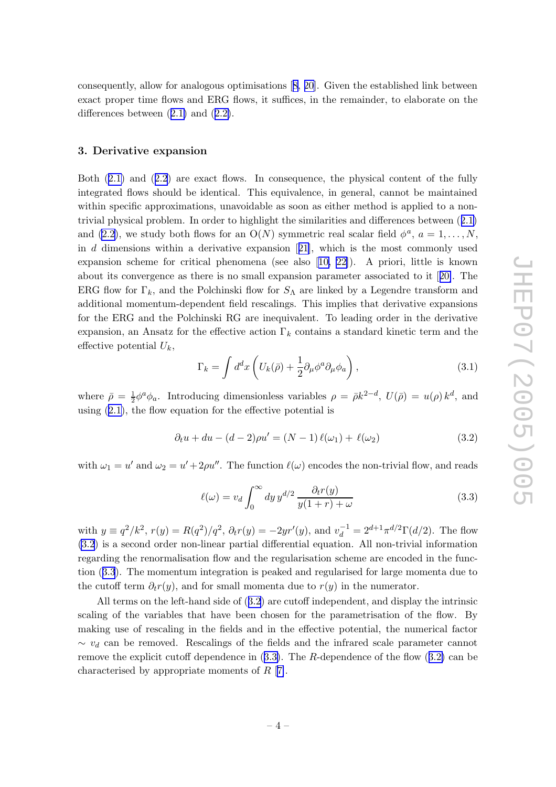<span id="page-6-0"></span>consequently, allow for analogous optimisations [[8,](#page-15-0) [20\]](#page-16-0). Given the established link between exact proper time flows and ERG flows, it suffices, in the remainder, to elaborate on the differences between  $(2.1)$  $(2.1)$  and  $(2.2)$  $(2.2)$ .

#### 3. Derivative expansion

Both ([2.1\)](#page-3-0) and ([2.2](#page-4-0)) are exact flows. In consequence, the physical content of the fully integrated flows should be identical. This equivalence, in general, cannot be maintained within specific approximations, unavoidable as soon as either method is applied to a nontrivial physical problem. In order to highlight the similarities and differences between ([2.1\)](#page-3-0) and [\(2.2\)](#page-4-0), we study both flows for an O(N) symmetric real scalar field  $\phi^a$ ,  $a = 1, \ldots, N$ , in d dimensions within a derivative expansion [[21\]](#page-16-0), which is the most commonly used expansion scheme for critical phenomena (see also[[10,](#page-15-0) [22\]](#page-16-0)). A priori, little is known about its convergence as there is no small expansion parameter associated to it [[20\]](#page-16-0). The ERG flow for  $\Gamma_k$ , and the Polchinski flow for  $S_\Lambda$  are linked by a Legendre transform and additional momentum-dependent field rescalings. This implies that derivative expansions for the ERG and the Polchinski RG are inequivalent. To leading order in the derivative expansion, an Ansatz for the effective action  $\Gamma_k$  contains a standard kinetic term and the effective potential  $U_k$ ,

$$
\Gamma_k = \int d^d x \left( U_k(\bar{\rho}) + \frac{1}{2} \partial_\mu \phi^a \partial_\mu \phi_a \right), \tag{3.1}
$$

where  $\bar{\rho} = \frac{1}{2} \phi^a \phi_a$ . Introducing dimensionless variables  $\rho = \bar{\rho} k^{2-d}$ ,  $U(\bar{\rho}) = u(\rho) k^d$ , and using  $(2.1)$ , the flow equation for the effective potential is

$$
\partial_t u + du - (d - 2)\rho u' = (N - 1)\ell(\omega_1) + \ell(\omega_2)
$$
\n(3.2)

with  $\omega_1 = u'$  and  $\omega_2 = u' + 2\rho u''$ . The function  $\ell(\omega)$  encodes the non-trivial flow, and reads

$$
\ell(\omega) = v_d \int_0^\infty dy \, y^{d/2} \, \frac{\partial_t r(y)}{y(1+r) + \omega} \tag{3.3}
$$

with  $y \equiv q^2/k^2$ ,  $r(y) = R(q^2)/q^2$ ,  $\partial_t r(y) = -2yr'(y)$ , and  $v_d^{-1} = 2^{d+1} \pi^{d/2} \Gamma(d/2)$ . The flow [\(3.2](#page-5-0)) is a second order non-linear partial differential equation. All non-trivial information regarding the renormalisation flow and the regularisation scheme are encoded in the function ([3.3](#page-5-0)). The momentum integration is peaked and regularised for large momenta due to the cutoff term  $\partial_t r(y)$ , and for small momenta due to  $r(y)$  in the numerator.

All terms on the left-hand side of ([3.2](#page-5-0)) are cutoff independent, and display the intrinsic scaling of the variables that have been chosen for the parametrisation of the flow. By making use of rescaling in the fields and in the effective potential, the numerical factor  $\sim v_d$  can be removed. Rescalings of the fields and the infrared scale parameter cannot remove the explicit cutoff dependence in ([3.3\)](#page-5-0). The R-dependence of the flow ([3.2\)](#page-5-0) can be characterised by appropriate moments of  $R$  [[7\]](#page-15-0).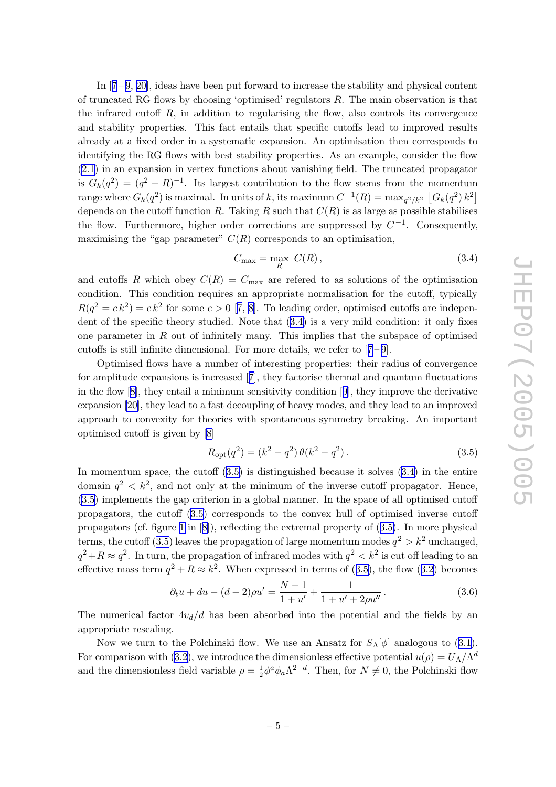<span id="page-7-0"></span>In[[7](#page-15-0)– [9,](#page-15-0) [20\]](#page-16-0), ideas have been put forward to increase the stability and physical content of truncated RG flows by choosing 'optimised' regulators R. The main observation is that the infrared cutoff R, in addition to regularising the flow, also controls its convergence and stability properties. This fact entails that specific cutoffs lead to improved results already at a fixed order in a systematic expansion. An optimisation then corresponds to identifying the RG flows with best stability properties. As an example, consider the flow [\(2.1](#page-3-0)) in an expansion in vertex functions about vanishing field. The truncated propagator is  $G_k(q^2) = (q^2 + R)^{-1}$ . Its largest contribution to the flow stems from the momentum range where  $G_k(q^2)$  is maximal. In units of k, its maximum  $C^{-1}(R) = \max_{q^2/k^2} [G_k(q^2) k^2]$ depends on the cutoff function R. Taking R such that  $C(R)$  is as large as possible stabilises the flow. Furthermore, higher order corrections are suppressed by  $C^{-1}$ . Consequently, maximising the "gap parameter"  $C(R)$  corresponds to an optimisation,

$$
C_{\text{max}} = \max_{R} C(R), \qquad (3.4)
$$

and cutoffs R which obey  $C(R) = C_{\text{max}}$  are refered to as solutions of the optimisation condition. This condition requires an appropriate normalisation for the cutoff, typically  $R(q^2 = ck^2) = ck^2$  $R(q^2 = ck^2) = ck^2$  $R(q^2 = ck^2) = ck^2$  for some  $c > 0$  [[7](#page-15-0), [8](#page-15-0)]. To leading order, optimised cutoffs are independent of the specific theory studied. Note that ([3.4\)](#page-6-0) is a very mild condition: it only fixes one parameter in  $R$  out of infinitely many. This implies that the subspace of optimised cutoffs is still infinite dimensional. For more details, we refer to  $[7-9]$  $[7-9]$  $[7-9]$ .

Optimised flows have a number of interesting properties: their radius of convergence for amplitude expansions is increased [[7\]](#page-15-0), they factorise thermal and quantum fluctuations in the flow [\[8\]](#page-15-0), they entail a minimum sensitivity condition[[9\]](#page-15-0), they improve the derivative expansion [\[20\]](#page-16-0), they lead to a fast decoupling of heavy modes, and they lead to an improved approach to convexity for theories with spontaneous symmetry breaking. An important optimised cutoff is given by [\[8\]](#page-15-0)

$$
R_{\rm opt}(q^2) = (k^2 - q^2) \theta(k^2 - q^2).
$$
 (3.5)

In momentum space, the cutoff  $(3.5)$  is distinguished because it solves  $(3.4)$  $(3.4)$  in the entire domain  $q^2 < k^2$ , and not only at the minimum of the inverse cutoff propagator. Hence, [\(3.5](#page-6-0)) implements the gap criterion in a global manner. In the space of all optimised cutoff propagators, the cutoff ([3.5\)](#page-6-0) corresponds to the convex hull of optimised inverse cutoff propagators (cf. figure [1](#page-8-0) in[[8\]](#page-15-0)), reflecting the extremal property of ([3.5\)](#page-6-0). In more physical terms, the cutoff [\(3.5\)](#page-6-0) leaves the propagation of large momentum modes  $q^2 > k^2$  unchanged,  $q^2 + R \approx q^2$ . In turn, the propagation of infrared modes with  $q^2 < k^2$  is cut off leading to an effective mass term  $q^2 + R \approx k^2$ . When expressed in terms of ([3.5](#page-6-0)), the flow ([3.2\)](#page-5-0) becomes

$$
\partial_t u + du - (d-2)\rho u' = \frac{N-1}{1+u'} + \frac{1}{1+u'+2\rho u''}.
$$
\n(3.6)

The numerical factor  $4v_d/d$  has been absorbed into the potential and the fields by an appropriate rescaling.

Now we turn to the Polchinski flow. We use an Ansatz for  $S_{\Lambda}[\phi]$  analogous to ([3.1](#page-5-0)). For comparison with ([3.2\)](#page-5-0), we introduce the dimensionless effective potential  $u(\rho) = U_{\Lambda}/\Lambda^d$ and the dimensionless field variable  $\rho = \frac{1}{2} \phi^a \phi_a \Lambda^{2-d}$ . Then, for  $N \neq 0$ , the Polchinski flow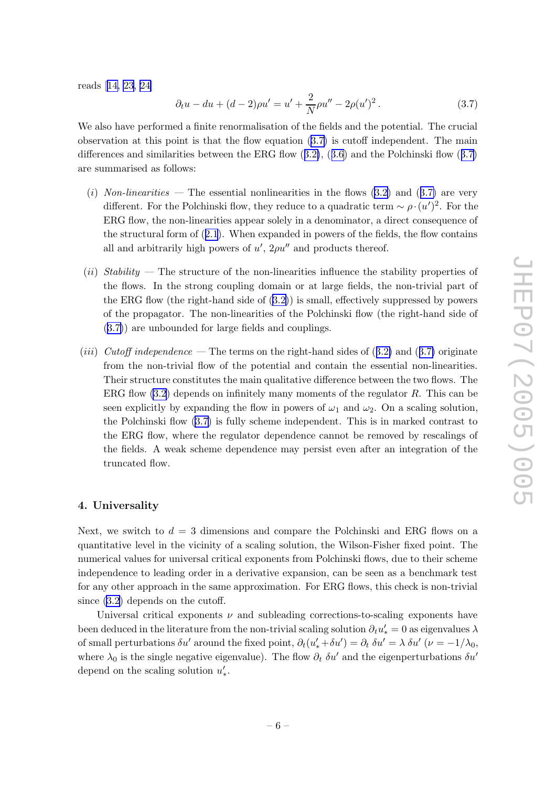<span id="page-8-0"></span>reads[[14, 23](#page-16-0), [24\]](#page-16-0)

$$
\partial_t u - du + (d-2)\rho u' = u' + \frac{2}{N}\rho u'' - 2\rho (u')^2. \tag{3.7}
$$

We also have performed a finite renormalisation of the fields and the potential. The crucial observation at this point is that the flow equation ([3.7\)](#page-7-0) is cutoff independent. The main differences and similarities between the ERG flow ([3.2\)](#page-5-0), ([3.6\)](#page-6-0) and the Polchinski flow ([3.7\)](#page-7-0) are summarised as follows:

- (i) Non-linearities The essential nonlinearities in the flows  $(3.2)$  $(3.2)$  and  $(3.7)$  $(3.7)$  are very different. For the Polchinski flow, they reduce to a quadratic term  $\sim \rho \cdot (u')^2$ . For the ERG flow, the non-linearities appear solely in a denominator, a direct consequence of the structural form of ([2.1](#page-3-0)). When expanded in powers of the fields, the flow contains all and arbitrarily high powers of  $u'$ ,  $2\rho u''$  and products thereof.
- $(ii)$  Stability The structure of the non-linearities influence the stability properties of the flows. In the strong coupling domain or at large fields, the non-trivial part of the ERG flow (the right-hand side of ([3.2\)](#page-5-0)) is small, effectively suppressed by powers of the propagator. The non-linearities of the Polchinski flow (the right-hand side of ([3.7\)](#page-7-0)) are unbounded for large fields and couplings.
- (*iii*) Cutoff independence The terms on the right-hand sides of  $(3.2)$  $(3.2)$  and  $(3.7)$  $(3.7)$  originate from the non-trivial flow of the potential and contain the essential non-linearities. Their structure constitutes the main qualitative difference between the two flows. The ERG flow [\(3.2\)](#page-5-0) depends on infinitely many moments of the regulator R. This can be seen explicitly by expanding the flow in powers of  $\omega_1$  and  $\omega_2$ . On a scaling solution, the Polchinski flow ([3.7\)](#page-7-0) is fully scheme independent. This is in marked contrast to the ERG flow, where the regulator dependence cannot be removed by rescalings of the fields. A weak scheme dependence may persist even after an integration of the truncated flow.

#### 4. Universality

Next, we switch to  $d = 3$  dimensions and compare the Polchinski and ERG flows on a quantitative level in the vicinity of a scaling solution, the Wilson-Fisher fixed point. The numerical values for universal critical exponents from Polchinski flows, due to their scheme independence to leading order in a derivative expansion, can be seen as a benchmark test for any other approach in the same approximation. For ERG flows, this check is non-trivial since [\(3.2\)](#page-5-0) depends on the cutoff.

Universal critical exponents  $\nu$  and subleading corrections-to-scaling exponents have been deduced in the literature from the non-trivial scaling solution  $\partial_t u'_* = 0$  as eigenvalues  $\lambda$ of small perturbations  $\delta u'$  around the fixed point,  $\partial_t(u'_* + \delta u') = \partial_t \delta u' = \lambda \delta u'$   $(\nu = -1/\lambda_0,$ where  $\lambda_0$  is the single negative eigenvalue). The flow  $\partial_t$   $\delta u'$  and the eigenperturbations  $\delta u'$ depend on the scaling solution  $u'_*$ .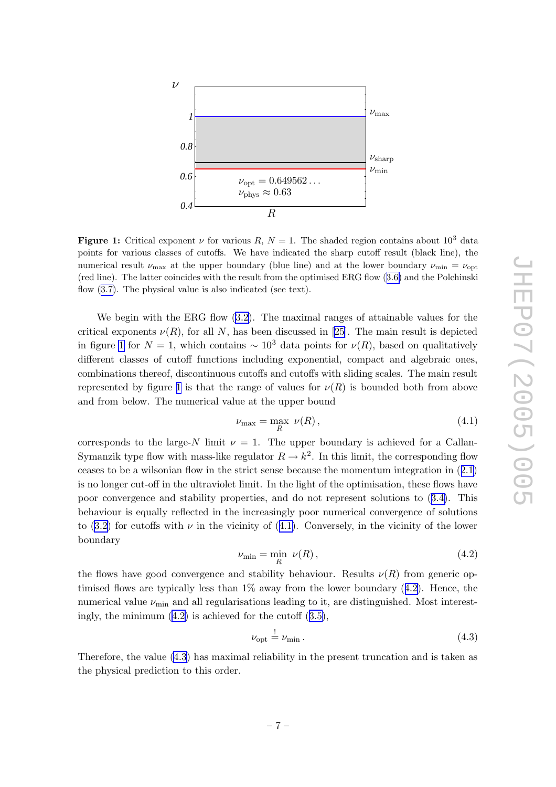<span id="page-9-0"></span>

Figure 1: Critical exponent  $\nu$  for various R,  $N = 1$ . The shaded region contains about 10<sup>3</sup> data points for various classes of cutoffs. We have indicated the sharp cutoff result (black line), the numerical result  $\nu_{\text{max}}$  at the upper boundary (blue line) and at the lower boundary  $\nu_{\text{min}} = \nu_{\text{opt}}$ (red line). The latter coincides with the result from the optimised ERG flow ([3.6\)](#page-6-0) and the Polchinski flow  $(3.7)$  $(3.7)$ . The physical value is also indicated (see text).

We begin with the ERG flow  $(3.2)$ . The maximal ranges of attainable values for the criticalexponents  $\nu(R)$ , for all N, has been discussed in [[25\]](#page-17-0). The main result is depicted in figure [1](#page-8-0) for  $N = 1$ , which contains  $\sim 10^3$  data points for  $\nu(R)$ , based on qualitatively different classes of cutoff functions including exponential, compact and algebraic ones, combinations thereof, discontinuous cutoffs and cutoffs with sliding scales. The main result represented by figure [1](#page-8-0) is that the range of values for  $\nu(R)$  is bounded both from above and from below. The numerical value at the upper bound

$$
\nu_{\max} = \max_{R} \ \nu(R),\tag{4.1}
$$

corresponds to the large-N limit  $\nu = 1$ . The upper boundary is achieved for a Callan-Symanzik type flow with mass-like regulator  $R \to k^2$ . In this limit, the corresponding flow ceases to be a wilsonian flow in the strict sense because the momentum integration in ([2.1\)](#page-3-0) is no longer cut-off in the ultraviolet limit. In the light of the optimisation, these flows have poor convergence and stability properties, and do not represent solutions to ([3.4\)](#page-6-0). This behaviour is equally reflected in the increasingly poor numerical convergence of solutions to [\(3.2\)](#page-5-0) for cutoffs with  $\nu$  in the vicinity of ([4.1\)](#page-8-0). Conversely, in the vicinity of the lower boundary

$$
\nu_{\min} = \min_{R} \ \nu(R) \,, \tag{4.2}
$$

the flows have good convergence and stability behaviour. Results  $\nu(R)$  from generic optimised flows are typically less than  $1\%$  away from the lower boundary  $(4.2)$  $(4.2)$ . Hence, the numerical value  $\nu_{\text{min}}$  and all regularisations leading to it, are distinguished. Most interestingly, the minimum  $(4.2)$  is achieved for the cutoff  $(3.5)$  $(3.5)$ ,

$$
\nu_{\rm opt} \stackrel{!}{=} \nu_{\rm min} \,. \tag{4.3}
$$

Therefore, the value ([4.3\)](#page-8-0) has maximal reliability in the present truncation and is taken as the physical prediction to this order.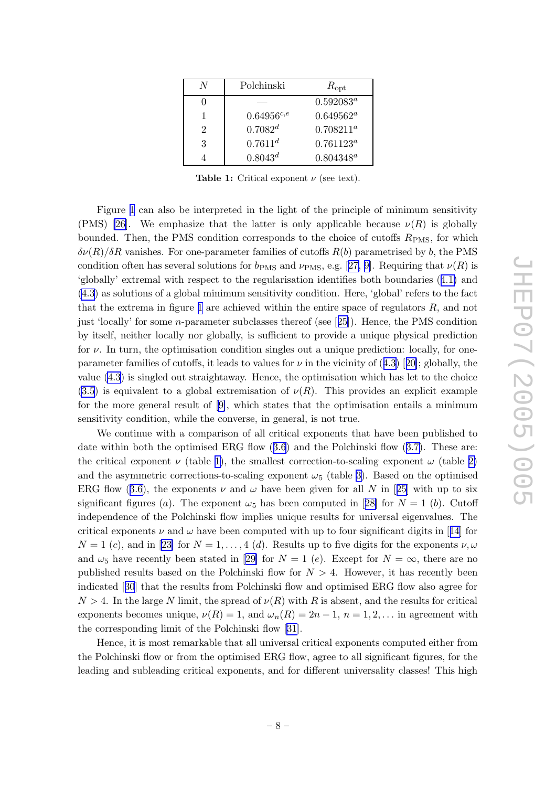<span id="page-10-0"></span>

|   | Polchinski      | $R_{\mathrm{opt}}$ |
|---|-----------------|--------------------|
|   |                 | $0.592083^a$       |
|   | $0.64956^{c,e}$ | $0.649562^a$       |
| 2 | $0.7082^d$      | $0.708211^a$       |
| 3 | $0.7611^d$      | $0.761123^a$       |
|   | $0.8043^{d}$    | $0.804348^a$       |

Table 1: Critical exponent  $\nu$  (see text).

Figure [1](#page-8-0) can also be interpreted in the light of the principle of minimum sensitivity (PMS) [\[26](#page-17-0)]. We emphasize that the latter is only applicable because  $\nu(R)$  is globally bounded. Then, the PMS condition corresponds to the choice of cutoffs  $R_{\text{PMS}}$ , for which  $\delta\nu(R)/\delta R$  vanishes. For one-parameter families of cutoffs  $R(b)$  parametrised by b, the PMS conditionoften has several solutions for  $b_{\rm PMS}$  and  $\nu_{\rm PMS}$ , e.g. [[27,](#page-17-0) [9](#page-15-0)]. Requiring that  $\nu(R)$  is 'globally' extremal with respect to the regularisation identifies both boundaries ([4.1\)](#page-8-0) and [\(4.3](#page-8-0)) as solutions of a global minimum sensitivity condition. Here, 'global' refers to the fact that the extrema in figure [1](#page-8-0) are achieved within the entire space of regulators R, and not just 'locally' for some n-parameter subclasses thereof (see [[25\]](#page-17-0)). Hence, the PMS condition by itself, neither locally nor globally, is sufficient to provide a unique physical prediction for  $\nu$ . In turn, the optimisation condition singles out a unique prediction: locally, for oneparameter families of cutoffs, it leads to values for  $\nu$  in the vicinity of ([4.3\)](#page-8-0) [[20\]](#page-16-0); globally, the value [\(4.3](#page-8-0)) is singled out straightaway. Hence, the optimisation which has let to the choice  $(3.5)$  $(3.5)$  is equivalent to a global extremisation of  $\nu(R)$ . This provides an explicit example for the more general result of[[9\]](#page-15-0), which states that the optimisation entails a minimum sensitivity condition, while the converse, in general, is not true.

We continue with a comparison of all critical exponents that have been published to date within both the optimised ERG flow  $(3.6)$  $(3.6)$  $(3.6)$  and the Polchinski flow  $(3.7)$  $(3.7)$ . These are: the critical exponent  $\nu$  (table [1\)](#page-9-0), the smallest correction-to-scaling exponent  $\omega$  (table 2) and the asymmetric corrections-to-scaling exponent  $\omega_5$  (table [3\)](#page-11-0). Based on the optimised ERG flow ([3.6\)](#page-6-0), the exponents  $\nu$  and  $\omega$  have been given for all N in [[25\]](#page-17-0) with up to six significantfigures (*a*). The exponent  $\omega_5$  has been computed in [[28\]](#page-17-0) for  $N = 1$  (*b*). Cutoff independence of the Polchinski flow implies unique results for universal eigenvalues. The critical exponents  $\nu$  and  $\omega$  have been computed with up to four significant digits in [[14\]](#page-16-0) for  $N = 1$  $N = 1$  $N = 1$  (c), and in [[23\]](#page-16-0) for  $N = 1, \ldots, 4$  (d). Results up to five digits for the exponents  $\nu, \omega$ and $\omega_5$  have recently been stated in [[29\]](#page-17-0) for  $N=1$  (e). Except for  $N=\infty$ , there are no published results based on the Polchinski flow for  $N > 4$ . However, it has recently been indicated[[30](#page-17-0)] that the results from Polchinski flow and optimised ERG flow also agree for  $N > 4$ . In the large N limit, the spread of  $\nu(R)$  with R is absent, and the results for critical exponents becomes unique,  $\nu(R) = 1$ , and  $\omega_n(R) = 2n - 1$ ,  $n = 1, 2, \dots$  in agreement with the corresponding limit of the Polchinski flow[[31\]](#page-17-0).

Hence, it is most remarkable that all universal critical exponents computed either from the Polchinski flow or from the optimised ERG flow, agree to all significant figures, for the leading and subleading critical exponents, and for different universality classes! This high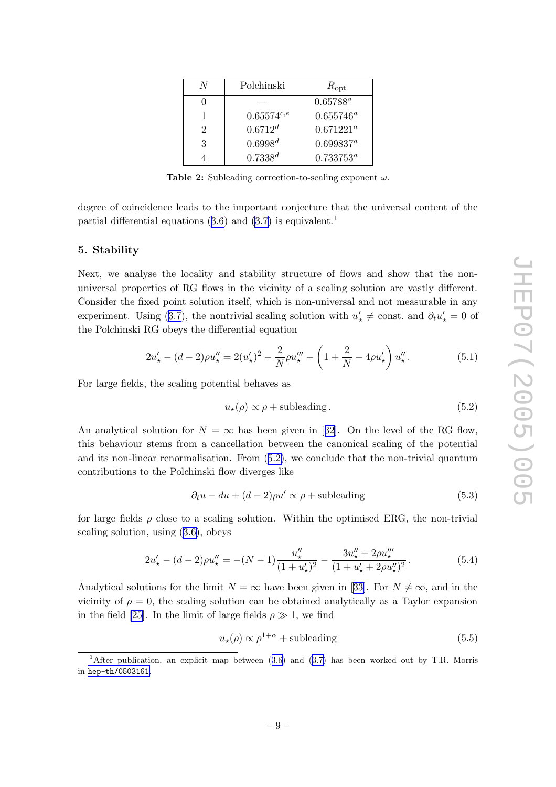<span id="page-11-0"></span>

|   | Polchinski            | $R_{\rm opt}$ |
|---|-----------------------|---------------|
|   |                       | $0.65788^a$   |
|   | $0.65574^{c,e}$       | $0.655746^a$  |
| 2 | $0.6712^{d}$          | $0.671221^a$  |
| 3 | $0.6998$ <sup>d</sup> | $0.699837^a$  |
|   | $0.7338^{d}$          | $0.733753^a$  |

Table 2: Subleading correction-to-scaling exponent  $\omega$ .

degree of coincidence leads to the important conjecture that the universal content of the partial differential equations ([3.6\)](#page-6-0) and [\(3.7\)](#page-7-0) is equivalent.<sup>1</sup>

#### 5. Stability

Next, we analyse the locality and stability structure of flows and show that the nonuniversal properties of RG flows in the vicinity of a scaling solution are vastly different. Consider the fixed point solution itself, which is non-universal and not measurable in any experiment. Using [\(3.7\)](#page-7-0), the nontrivial scaling solution with  $u'_{\star} \neq$  const. and  $\partial_t u'_{\star} = 0$  of the Polchinski RG obeys the differential equation

$$
2u'_{\star} - (d-2)\rho u''_{\star} = 2(u'_{\star})^2 - \frac{2}{N}\rho u'''_{\star} - \left(1 + \frac{2}{N} - 4\rho u'_{\star}\right)u''_{\star}.
$$
 (5.1)

For large fields, the scaling potential behaves as

$$
u_{\star}(\rho) \propto \rho + \text{subleading} \,. \tag{5.2}
$$

An analytical solution for  $N = \infty$  has been given in [[32\]](#page-17-0). On the level of the RG flow, this behaviour stems from a cancellation between the canonical scaling of the potential and its non-linear renormalisation. From ([5.2\)](#page-10-0), we conclude that the non-trivial quantum contributions to the Polchinski flow diverges like

$$
\partial_t u - du + (d - 2)\rho u' \propto \rho + \text{subleading} \tag{5.3}
$$

for large fields  $\rho$  close to a scaling solution. Within the optimised ERG, the non-trivial scaling solution, using [\(3.6\)](#page-6-0), obeys

$$
2u'_{\star} - (d-2)\rho u''_{\star} = -(N-1)\frac{u''_{\star}}{(1+u'_{\star})^2} - \frac{3u''_{\star} + 2\rho u'''_{\star}}{(1+u'_{\star} + 2\rho u''_{\star})^2}.
$$
 (5.4)

Analytical solutions for the limit  $N = \infty$  have been given in [\[33\]](#page-17-0). For  $N \neq \infty$ , and in the vicinity of  $\rho = 0$ , the scaling solution can be obtained analytically as a Taylor expansion in the field [\[25](#page-17-0)]. In the limit of large fields  $\rho \gg 1$ , we find

$$
u_{\star}(\rho) \propto \rho^{1+\alpha} + \text{subleading} \tag{5.5}
$$

<sup>&</sup>lt;sup>1</sup>After publication, an explicit map between  $(3.6)$  $(3.6)$  $(3.6)$  and  $(3.7)$  has been worked out by T.R. Morris in [hep-th/0503161](http://xxx.lanl.gov/abs/hep-th/0503161) .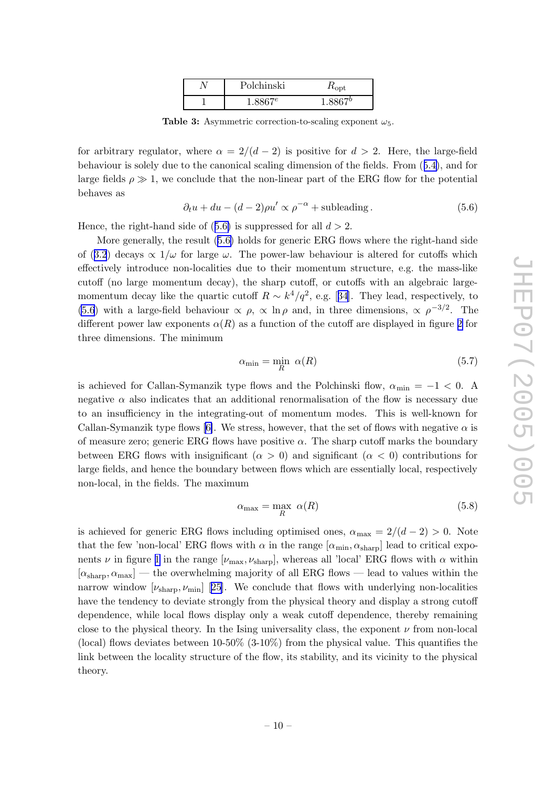| Polchinski | $1\mathrm{t}$ |
|------------|---------------|
| QQG7e      |               |

Table 3: Asymmetric correction-to-scaling exponent  $\omega_5$ .

<span id="page-12-0"></span>for arbitrary regulator, where  $\alpha = 2/(d-2)$  is positive for  $d > 2$ . Here, the large-field behaviour is solely due to the canonical scaling dimension of the fields. From ([5.4\)](#page-10-0), and for large fields  $\rho \gg 1$ , we conclude that the non-linear part of the ERG flow for the potential behaves as

$$
\partial_t u + du - (d-2)\rho u' \propto \rho^{-\alpha} + \text{subleading}.
$$
\n(5.6)

Hence, the right-hand side of ([5.6\)](#page-11-0) is suppressed for all  $d > 2$ .

More generally, the result ([5.6\)](#page-11-0) holds for generic ERG flows where the right-hand side of ([3.2](#page-5-0)) decays  $\propto 1/\omega$  for large  $\omega$ . The power-law behaviour is altered for cutoffs which effectively introduce non-localities due to their momentum structure, e.g. the mass-like cutoff (no large momentum decay), the sharp cutoff, or cutoffs with an algebraic largemomentumdecay like the quartic cutoff  $R \sim k^4/q^2$ , e.g. [[34](#page-17-0)]. They lead, respectively, to [\(5.6](#page-11-0)) with a large-field behaviour  $\propto \rho$ ,  $\propto \ln \rho$  and, in three dimensions,  $\propto \rho^{-3/2}$ . The different power law exponents  $\alpha(R)$  as a function of the cutoff are displayed in figure 2 for three dimensions. The minimum

$$
\alpha_{\min} = \min_{R} \ \alpha(R) \tag{5.7}
$$

is achieved for Callan-Symanzik type flows and the Polchinski flow,  $\alpha_{\min} = -1 < 0$ . A negative  $\alpha$  also indicates that an additional renormalisation of the flow is necessary due to an insufficiency in the integrating-out of momentum modes. This is well-known for Callan-Symanzik type flows [\[6\]](#page-15-0). We stress, however, that the set of flows with negative  $\alpha$  is of measure zero; generic ERG flows have positive  $\alpha$ . The sharp cutoff marks the boundary between ERG flows with insignificant ( $\alpha > 0$ ) and significant ( $\alpha < 0$ ) contributions for large fields, and hence the boundary between flows which are essentially local, respectively non-local, in the fields. The maximum

$$
\alpha_{\text{max}} = \max_{R} \ \alpha(R) \tag{5.8}
$$

is achieved for generic ERG flows including optimised ones,  $\alpha_{\text{max}} = 2/(d-2) > 0$ . Note that the few 'non-local' ERG flows with  $\alpha$  in the range  $[\alpha_{\min}, \alpha_{\text{sharp}}]$  lead to critical exponents  $\nu$  in figure [1](#page-8-0) in the range  $[\nu_{\text{max}}, \nu_{\text{sharp}}]$ , whereas all 'local' ERG flows with  $\alpha$  within  $[\alpha_{\rm sharp}, \alpha_{\rm max}]$  — the overwhelming majority of all ERG flows — lead to values within the narrow window  $[\nu_{\rm sharp}, \nu_{\rm min}]$  [\[25\]](#page-17-0). We conclude that flows with underlying non-localities have the tendency to deviate strongly from the physical theory and display a strong cutoff dependence, while local flows display only a weak cutoff dependence, thereby remaining close to the physical theory. In the Ising universality class, the exponent  $\nu$  from non-local (local) flows deviates between 10-50% (3-10%) from the physical value. This quantifies the link between the locality structure of the flow, its stability, and its vicinity to the physical theory.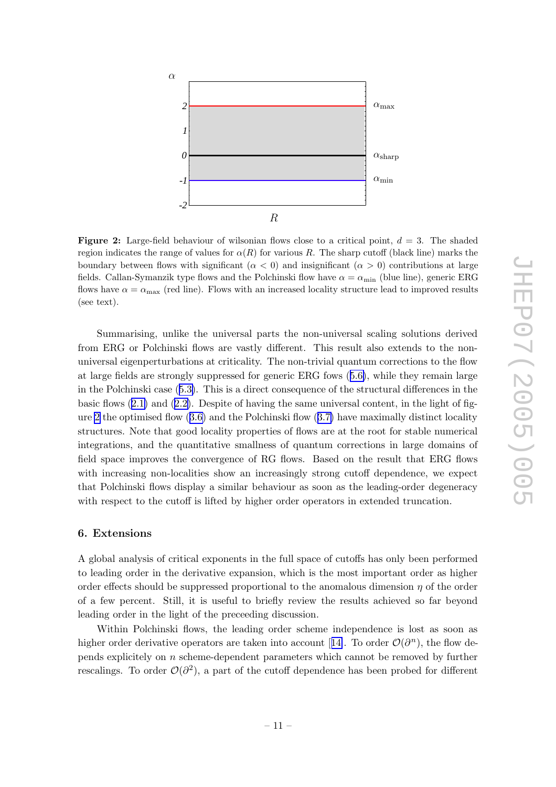

Figure 2: Large-field behaviour of wilsonian flows close to a critical point,  $d = 3$ . The shaded region indicates the range of values for  $\alpha(R)$  for various R. The sharp cutoff (black line) marks the boundary between flows with significant  $(\alpha < 0)$  and insignificant  $(\alpha > 0)$  contributions at large fields. Callan-Symanzik type flows and the Polchinski flow have  $\alpha = \alpha_{\min}$  (blue line), generic ERG flows have  $\alpha = \alpha_{\text{max}}$  (red line). Flows with an increased locality structure lead to improved results (see text).

Summarising, unlike the universal parts the non-universal scaling solutions derived from ERG or Polchinski flows are vastly different. This result also extends to the nonuniversal eigenperturbations at criticality. The non-trivial quantum corrections to the flow at large fields are strongly suppressed for generic ERG fows ([5.6\)](#page-11-0), while they remain large in the Polchinski case ([5.3\)](#page-10-0). This is a direct consequence of the structural differences in the basic flows  $(2.1)$  $(2.1)$  and  $(2.2)$  $(2.2)$ . Despite of having the same universal content, in the light of figure [2](#page-12-0) the optimised flow ([3.6\)](#page-6-0) and the Polchinski flow ([3.7\)](#page-7-0) have maximally distinct locality structures. Note that good locality properties of flows are at the root for stable numerical integrations, and the quantitative smallness of quantum corrections in large domains of field space improves the convergence of RG flows. Based on the result that ERG flows with increasing non-localities show an increasingly strong cutoff dependence, we expect that Polchinski flows display a similar behaviour as soon as the leading-order degeneracy with respect to the cutoff is lifted by higher order operators in extended truncation.

#### 6. Extensions

A global analysis of critical exponents in the full space of cutoffs has only been performed to leading order in the derivative expansion, which is the most important order as higher order effects should be suppressed proportional to the anomalous dimension  $\eta$  of the order of a few percent. Still, it is useful to briefly review the results achieved so far beyond leading order in the light of the preceeding discussion.

Within Polchinski flows, the leading order scheme independence is lost as soon as higher order derivative operators are taken into account [[14\]](#page-16-0). To order  $\mathcal{O}(\partial^n)$ , the flow depends explicitely on n scheme-dependent parameters which cannot be removed by further rescalings. To order  $\mathcal{O}(\partial^2)$ , a part of the cutoff dependence has been probed for different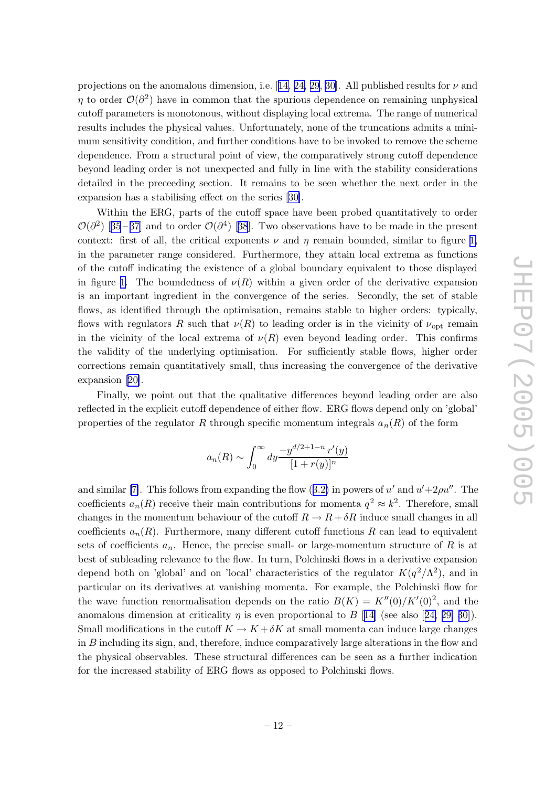<span id="page-14-0"></span>projectionson the anomalous dimension, i.e.  $[14, 24, 29, 30]$  $[14, 24, 29, 30]$  $[14, 24, 29, 30]$ . All published results for  $\nu$  and  $\eta$  to order  $\mathcal{O}(\partial^2)$  have in common that the spurious dependence on remaining unphysical cutoff parameters is monotonous, without displaying local extrema. The range of numerical results includes the physical values. Unfortunately, none of the truncations admits a minimum sensitivity condition, and further conditions have to be invoked to remove the scheme dependence. From a structural point of view, the comparatively strong cutoff dependence beyond leading order is not unexpected and fully in line with the stability considerations detailed in the preceeding section. It remains to be seen whether the next order in the expansion has a stabilising effect on the series[[30\]](#page-17-0).

Within the ERG, parts of the cutoff space have been probed quantitatively to order  $\mathcal{O}(\partial^2)$ [[35](#page-17-0)–[37](#page-17-0)] and to order  $\mathcal{O}(\partial^4)$  [[38](#page-17-0)]. Two observations have to be made in the present context: first of all, the critical exponents  $\nu$  and  $\eta$  remain bounded, similar to figure [1,](#page-8-0) in the parameter range considered. Furthermore, they attain local extrema as functions of the cutoff indicating the existence of a global boundary equivalent to those displayed in figure [1.](#page-8-0) The boundedness of  $\nu(R)$  within a given order of the derivative expansion is an important ingredient in the convergence of the series. Secondly, the set of stable flows, as identified through the optimisation, remains stable to higher orders: typically, flows with regulators R such that  $\nu(R)$  to leading order is in the vicinity of  $\nu_{\text{opt}}$  remain in the vicinity of the local extrema of  $\nu(R)$  even beyond leading order. This confirms the validity of the underlying optimisation. For sufficiently stable flows, higher order corrections remain quantitatively small, thus increasing the convergence of the derivative expansion[[20\]](#page-16-0).

Finally, we point out that the qualitative differences beyond leading order are also reflected in the explicit cutoff dependence of either flow. ERG flows depend only on 'global' properties of the regulator R through specific momentum integrals  $a_n(R)$  of the form

$$
a_n(R) \sim \int_0^\infty dy \frac{-y^{d/2+1-n} r'(y)}{[1+r(y)]^n}
$$

and similar [\[7\]](#page-15-0). This follows from expanding the flow ([3.2\)](#page-5-0) in powers of  $u'$  and  $u'+2\rho u''$ . The coefficients  $a_n(R)$  receive their main contributions for momenta  $q^2 \approx k^2$ . Therefore, small changes in the momentum behaviour of the cutoff  $R \to R + \delta R$  induce small changes in all coefficients  $a_n(R)$ . Furthermore, many different cutoff functions R can lead to equivalent sets of coefficients  $a_n$ . Hence, the precise small- or large-momentum structure of R is at best of subleading relevance to the flow. In turn, Polchinski flows in a derivative expansion depend both on 'global' and on 'local' characteristics of the regulator  $K(q^2/\Lambda^2)$ , and in particular on its derivatives at vanishing momenta. For example, the Polchinski flow for the wave function renormalisation depends on the ratio  $B(K) = K''(0)/K'(0)^2$ , and the anomalousdimension at criticality  $\eta$  is even proportional to  $B$  [[14\]](#page-16-0) (see also [[24,](#page-16-0) [29, 30\]](#page-17-0)). Small modifications in the cutoff  $K \to K + \delta K$  at small momenta can induce large changes in B including its sign, and, therefore, induce comparatively large alterations in the flow and the physical observables. These structural differences can be seen as a further indication for the increased stability of ERG flows as opposed to Polchinski flows.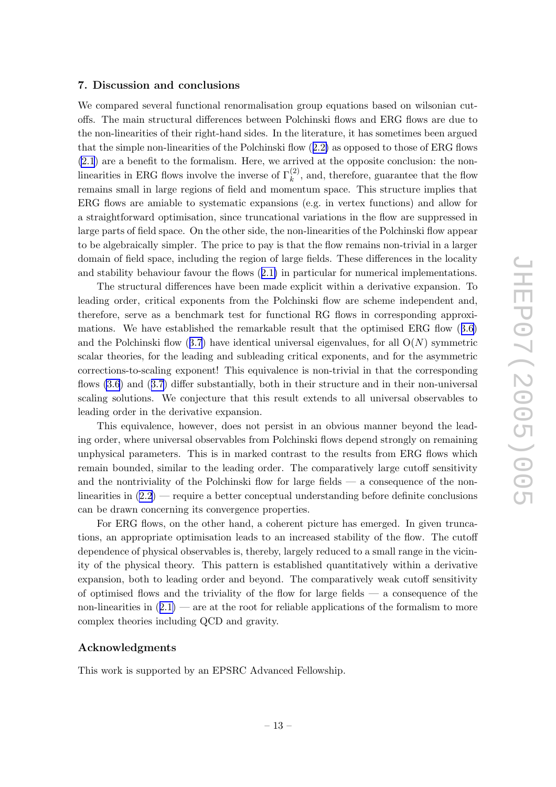#### <span id="page-15-0"></span>7. Discussion and conclusions

We compared several functional renormalisation group equations based on wilsonian cutoffs. The main structural differences between Polchinski flows and ERG flows are due to the non-linearities of their right-hand sides. In the literature, it has sometimes been argued that the simple non-linearities of the Polchinski flow ([2.2\)](#page-4-0) as opposed to those of ERG flows [\(2.1](#page-3-0)) are a benefit to the formalism. Here, we arrived at the opposite conclusion: the nonlinearities in ERG flows involve the inverse of  $\Gamma_k^{(2)}$ , and, therefore, guarantee that the flow remains small in large regions of field and momentum space. This structure implies that ERG flows are amiable to systematic expansions (e.g. in vertex functions) and allow for a straightforward optimisation, since truncational variations in the flow are suppressed in large parts of field space. On the other side, the non-linearities of the Polchinski flow appear to be algebraically simpler. The price to pay is that the flow remains non-trivial in a larger domain of field space, including the region of large fields. These differences in the locality and stability behaviour favour the flows ([2.1\)](#page-3-0) in particular for numerical implementations.

The structural differences have been made explicit within a derivative expansion. To leading order, critical exponents from the Polchinski flow are scheme independent and, therefore, serve as a benchmark test for functional RG flows in corresponding approximations. We have established the remarkable result that the optimised ERG flow ([3.6\)](#page-6-0) and the Polchinski flow  $(3.7)$  $(3.7)$  $(3.7)$  have identical universal eigenvalues, for all  $O(N)$  symmetric scalar theories, for the leading and subleading critical exponents, and for the asymmetric corrections-to-scaling exponent! This equivalence is non-trivial in that the corresponding flows [\(3.6](#page-6-0)) and ([3.7](#page-7-0)) differ substantially, both in their structure and in their non-universal scaling solutions. We conjecture that this result extends to all universal observables to leading order in the derivative expansion.

This equivalence, however, does not persist in an obvious manner beyond the leading order, where universal observables from Polchinski flows depend strongly on remaining unphysical parameters. This is in marked contrast to the results from ERG flows which remain bounded, similar to the leading order. The comparatively large cutoff sensitivity and the nontriviality of the Polchinski flow for large fields  $-$  a consequence of the nonlinearities in [\(2.2\)](#page-4-0) — require a better conceptual understanding before definite conclusions can be drawn concerning its convergence properties.

For ERG flows, on the other hand, a coherent picture has emerged. In given truncations, an appropriate optimisation leads to an increased stability of the flow. The cutoff dependence of physical observables is, thereby, largely reduced to a small range in the vicinity of the physical theory. This pattern is established quantitatively within a derivative expansion, both to leading order and beyond. The comparatively weak cutoff sensitivity of optimised flows and the triviality of the flow for large fields — a consequence of the non-linearities in  $(2.1)$  $(2.1)$  — are at the root for reliable applications of the formalism to more complex theories including QCD and gravity.

#### Acknowledgments

This work is supported by an EPSRC Advanced Fellowship.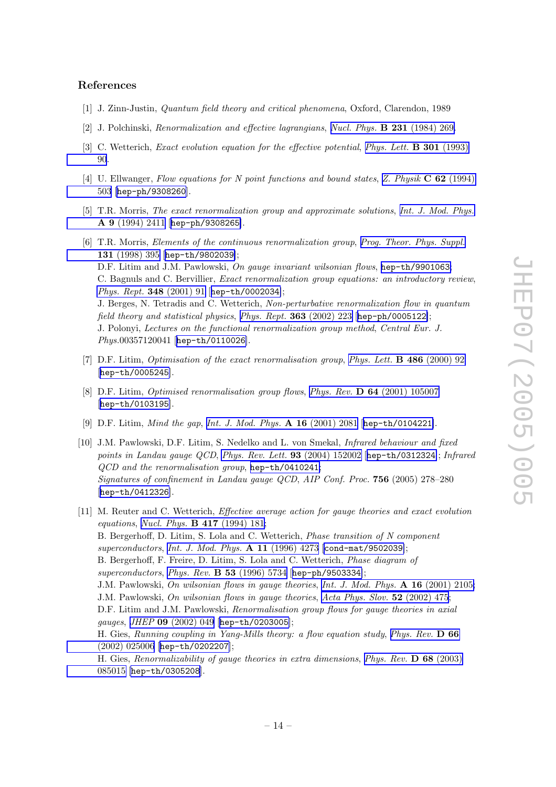#### <span id="page-16-0"></span>References

- [1] J. Zinn-Justin, Quantum field theory and critical phenomena, Oxford, Clarendon, 1989
- [2] J. Polchinski, Renormalization and effective lagrangians, [Nucl. Phys.](http://www-spires.slac.stanford.edu/spires/find/hep/www?j=NUPHA%2CB231%2C269) **B 231** (1984) 269.
- [3] C. Wetterich, *Exact evolution equation for the effective potential*, *[Phys. Lett.](http://www-spires.slac.stanford.edu/spires/find/hep/www?j=PHLTA%2CB301%2C90)* **B** 301 (1993) [90](http://www-spires.slac.stanford.edu/spires/find/hep/www?j=PHLTA%2CB301%2C90).
- [4] U. Ellwanger, Flow equations for N point functions and bound states, [Z. Physik](http://www-spires.slac.stanford.edu/spires/find/hep/www?j=ZEPYA%2CC62%2C503)  $C$  62 (1994) [503](http://www-spires.slac.stanford.edu/spires/find/hep/www?j=ZEPYA%2CC62%2C503) [[hep-ph/9308260](http://xxx.lanl.gov/abs/hep-ph/9308260)].
- [5] T.R. Morris, The exact renormalization group and approximate solutions , [Int. J. Mod. Phys.](http://www-spires.slac.stanford.edu/spires/find/hep/www?j=IMPAE%2CA9%2C2411) A 9 [\(1994\) 2411](http://www-spires.slac.stanford.edu/spires/find/hep/www?j=IMPAE%2CA9%2C2411) [[hep-ph/9308265](http://xxx.lanl.gov/abs/hep-ph/9308265)].
- [6] T.R. Morris, *Elements of the continuous renormalization group*, *[Prog. Theor. Phys. Suppl.](http://www-spires.slac.stanford.edu/spires/find/hep/www?j=PTPSA%2C131%2C395)* 131 [\(1998\) 395](http://www-spires.slac.stanford.edu/spires/find/hep/www?j=PTPSA%2C131%2C395) [[hep-th/9802039](http://xxx.lanl.gov/abs/hep-th/9802039)]; D.F. Litim and J.M. Pawlowski, *On gauge invariant wilsonian flows*, [hep-th/9901063](http://xxx.lanl.gov/abs/hep-th/9901063); C. Bagnuls and C. Bervillier, *Exact renormalization group equations: an introductory review*, [Phys. Rept.](http://www-spires.slac.stanford.edu/spires/find/hep/www?j=PRPLC%2C348%2C91) 348 (2001) 91 [[hep-th/0002034](http://xxx.lanl.gov/abs/hep-th/0002034)]; J. Berges, N. Tetradis and C. Wetterich, Non-perturbative renormalization flow in quantum field theory and statistical physics, [Phys. Rept.](http://www-spires.slac.stanford.edu/spires/find/hep/www?j=PRPLC%2C363%2C223) 363 (2002) 223 [[hep-ph/0005122](http://xxx.lanl.gov/abs/hep-ph/0005122)]; J. Polonyi, Lectures on the functional renormalization group method , Central Eur. J. Phys.00357120041 [[hep-th/0110026](http://xxx.lanl.gov/abs/hep-th/0110026)].
- [7] D.F. Litim, *Optimisation of the exact renormalisation group*, *[Phys. Lett.](http://www-spires.slac.stanford.edu/spires/find/hep/www?j=PHLTA%2CB486%2C92)* **B 486** (2000) 92 [[hep-th/0005245](http://xxx.lanl.gov/abs/hep-th/0005245)].
- [8] D.F. Litim, Optimised renormalisation group flows , Phys. Rev. D 64 [\(2001\) 105007](http://www-spires.slac.stanford.edu/spires/find/hep/www?j=PHRVA%2CD64%2C105007) [[hep-th/0103195](http://xxx.lanl.gov/abs/hep-th/0103195)].
- [9] D.F. Litim, Mind the gap , [Int. J. Mod. Phys.](http://www-spires.slac.stanford.edu/spires/find/hep/www?j=IMPAE%2CA16%2C2081) A 16 (2001) 2081 [[hep-th/0104221](http://xxx.lanl.gov/abs/hep-th/0104221)].
- [10] J.M. Pawlowski, D.F. Litim, S. Nedelko and L. von Smekal, *Infrared behaviour and fixed* points in Landau gauge QCD, [Phys. Rev. Lett.](http://www-spires.slac.stanford.edu/spires/find/hep/www?j=PRLTA%2C93%2C152002) **93** (2004) 152002 [[hep-th/0312324](http://xxx.lanl.gov/abs/hep-th/0312324)]; Infrared QCD and the renormalisation group , [hep-th/0410241](http://xxx.lanl.gov/abs/hep-th/0410241) ; Signatures of confinement in Landau gauge QCD , AIP Conf. Proc. 756 (2005) 278–280 [[hep-th/0412326](http://xxx.lanl.gov/abs/hep-th/0412326)].
- [11] M. Reuter and C. Wetterich, Effective average action for gauge theories and exact evolution equations, [Nucl. Phys.](http://www-spires.slac.stanford.edu/spires/find/hep/www?j=NUPHA%2CB417%2C181) **B 417** (1994) 181; B. Bergerhoff, D. Litim, S. Lola and C. Wetterich, Phase transition of N component superconductors, [Int. J. Mod. Phys.](http://www-spires.slac.stanford.edu/spires/find/hep/www?j=IMPAE%2CA11%2C4273) A 11 (1996) 4273 [[cond-mat/9502039](http://xxx.lanl.gov/abs/cond-mat/9502039)]; B. Bergerhoff, F. Freire, D. Litim, S. Lola and C. Wetterich, Phase diagram of superconductors, Phys. Rev. **B 53** [\(1996\) 5734](http://www-spires.slac.stanford.edu/spires/find/hep/www?j=PHRVA%2CB53%2C5734) [[hep-ph/9503334](http://xxx.lanl.gov/abs/hep-ph/9503334)]; J.M. Pawlowski, On wilsonian flows in gauge theories, [Int. J. Mod. Phys.](http://www-spires.slac.stanford.edu/spires/find/hep/www?j=IMPAE%2CA16%2C2105) **A 16** (2001) 2105; J.M. Pawlowski, On wilsonian flows in gauge theories , [Acta Phys. Slov.](http://www-spires.slac.stanford.edu/spires/find/hep/www?j=APSVC%2C52%2C475) 52 (2002) 475; D.F. Litim and J.M. Pawlowski, Renormalisation group flows for gauge theories in axial gauges, JHEP 09 [\(2002\) 049](http://jhep.sissa.it/stdsearch?paper=09%282002%29049) [[hep-th/0203005](http://xxx.lanl.gov/abs/hep-th/0203005)]; H. Gies, Running coupling in Yang-Mills theory: a flow equation study, [Phys. Rev.](http://www-spires.slac.stanford.edu/spires/find/hep/www?j=PHRVA%2CD66%2C025006)  $\bf{D}$  66 [\(2002\) 025006](http://www-spires.slac.stanford.edu/spires/find/hep/www?j=PHRVA%2CD66%2C025006) [[hep-th/0202207](http://xxx.lanl.gov/abs/hep-th/0202207)]; H. Gies, Renormalizability of gauge theories in extra dimensions, [Phys. Rev.](http://www-spires.slac.stanford.edu/spires/find/hep/www?j=PHRVA%2CD68%2C085015) D 68 (2003) [085015](http://www-spires.slac.stanford.edu/spires/find/hep/www?j=PHRVA%2CD68%2C085015) [[hep-th/0305208](http://xxx.lanl.gov/abs/hep-th/0305208)].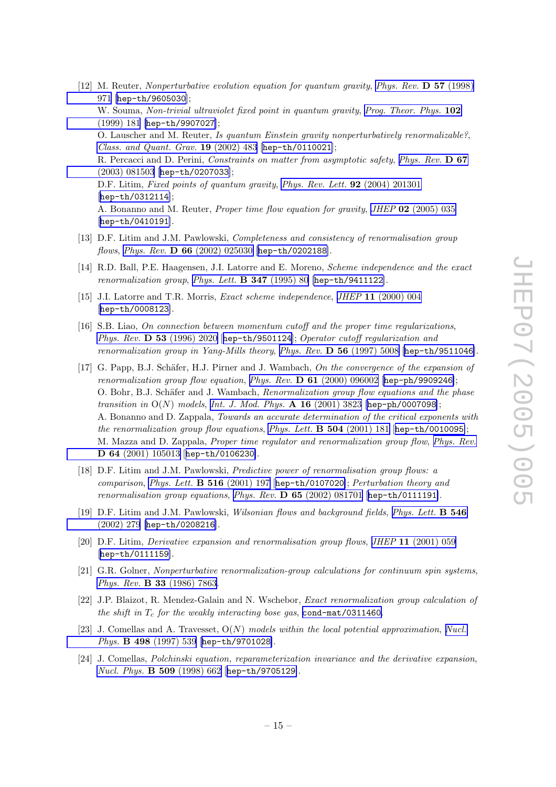- <span id="page-17-0"></span>[12] M. Reuter, Nonperturbative evolution equation for quantum gravity, [Phys. Rev.](http://www-spires.slac.stanford.edu/spires/find/hep/www?j=PHRVA%2CD57%2C971) D 57 (1998) [971](http://www-spires.slac.stanford.edu/spires/find/hep/www?j=PHRVA%2CD57%2C971) [[hep-th/9605030](http://xxx.lanl.gov/abs/hep-th/9605030)]; W. Souma, Non-trivial ultraviolet fixed point in quantum gravity, [Prog. Theor. Phys.](http://www-spires.slac.stanford.edu/spires/find/hep/www?j=PTPKA%2C102%2C181) 102 [\(1999\) 181](http://www-spires.slac.stanford.edu/spires/find/hep/www?j=PTPKA%2C102%2C181) [[hep-th/9907027](http://xxx.lanl.gov/abs/hep-th/9907027)]; O. Lauscher and M. Reuter, Is quantum Einstein gravity nonperturbatively renormalizable?, [Class. and Quant. Grav.](http://www-spires.slac.stanford.edu/spires/find/hep/www?j=CQGRD%2C19%2C483) 19 (2002) 483 [[hep-th/0110021](http://xxx.lanl.gov/abs/hep-th/0110021)]; R. Percacci and D. Perini, Constraints on matter from asymptotic safety, [Phys. Rev.](http://www-spires.slac.stanford.edu/spires/find/hep/www?j=PHRVA%2CD67%2C081503) D 67 [\(2003\) 081503](http://www-spires.slac.stanford.edu/spires/find/hep/www?j=PHRVA%2CD67%2C081503) [[hep-th/0207033](http://xxx.lanl.gov/abs/hep-th/0207033)]; D.F. Litim, Fixed points of quantum gravity, [Phys. Rev. Lett.](http://www-spires.slac.stanford.edu/spires/find/hep/www?j=PRLTA%2C92%2C201301) **92** (2004) 201301 [[hep-th/0312114](http://xxx.lanl.gov/abs/hep-th/0312114)]; A. Bonanno and M. Reuter, *Proper time flow equation for gravity*, *JHEP* 02 [\(2005\) 035](http://jhep.sissa.it/stdsearch?paper=02%282005%29035) [[hep-th/0410191](http://xxx.lanl.gov/abs/hep-th/0410191)].
- [13] D.F. Litim and J.M. Pawlowski, Completeness and consistency of renormalisation group  $flows, \ Phys. \ Rev. \ \mathbf{D} \ \mathbf{66} \ (2002) \ 025030 \ [\texttt{hep-th}/0202188].$
- [14] R.D. Ball, P.E. Haagensen, J.I. Latorre and E. Moreno, *Scheme independence and the exact* renormalization group, [Phys. Lett.](http://www-spires.slac.stanford.edu/spires/find/hep/www?j=PHLTA%2CB347%2C80)  $\bf{B}$  347 (1995) 80 [[hep-th/9411122](http://xxx.lanl.gov/abs/hep-th/9411122)].
- [15] J.I. Latorre and T.R. Morris, *Exact scheme independence*, *JHEP* 11 [\(2000\) 004](http://jhep.sissa.it/stdsearch?paper=11%282000%29004) [[hep-th/0008123](http://xxx.lanl.gov/abs/hep-th/0008123)].
- [16] S.B. Liao, On connection between momentum cutoff and the proper time regularizations , Phys. Rev. D 53 [\(1996\) 2020](http://www-spires.slac.stanford.edu/spires/find/hep/www?j=PHRVA%2CD53%2C2020) [[hep-th/9501124](http://xxx.lanl.gov/abs/hep-th/9501124)]; Operator cutoff regularization and renormalization group in Yang-Mills theory, Phys. Rev. D 56 [\(1997\) 5008](http://www-spires.slac.stanford.edu/spires/find/hep/www?j=PHRVA%2CD56%2C5008) [[hep-th/9511046](http://xxx.lanl.gov/abs/hep-th/9511046)].
- [17] G. Papp, B.J. Schäfer, H.J. Pirner and J. Wambach, On the convergence of the expansion of renormalization group flow equation, Phys. Rev.  $D$  61 [\(2000\) 096002](http://www-spires.slac.stanford.edu/spires/find/hep/www?j=PHRVA%2CD61%2C096002) [[hep-ph/9909246](http://xxx.lanl.gov/abs/hep-ph/9909246)]; O. Bohr, B.J. Schäfer and J. Wambach, Renormalization group flow equations and the phase transition in  $O(N)$  models, [Int. J. Mod. Phys.](http://www-spires.slac.stanford.edu/spires/find/hep/www?j=IMPAE%2CA16%2C3823)  $A 16 (2001) 3823$  [[hep-ph/0007098](http://xxx.lanl.gov/abs/hep-ph/0007098)]; A. Bonanno and D. Zappala, Towards an accurate determination of the critical exponents with the renormalization group flow equations, [Phys. Lett.](http://www-spires.slac.stanford.edu/spires/find/hep/www?j=PHLTA%2CB504%2C181) **B 504** (2001) 181 [[hep-th/0010095](http://xxx.lanl.gov/abs/hep-th/0010095)]; M. Mazza and D. Zappala, Proper time regulator and renormalization group flow , [Phys. Rev.](http://www-spires.slac.stanford.edu/spires/find/hep/www?j=PHRVA%2CD64%2C105013) D 64 [\(2001\) 105013](http://www-spires.slac.stanford.edu/spires/find/hep/www?j=PHRVA%2CD64%2C105013) [[hep-th/0106230](http://xxx.lanl.gov/abs/hep-th/0106230)].
- [18] D.F. Litim and J.M. Pawlowski, Predictive power of renormalisation group flows: a comparison, [Phys. Lett.](http://www-spires.slac.stanford.edu/spires/find/hep/www?j=PHLTA%2CB516%2C197) **B 516** (2001) 197 [[hep-th/0107020](http://xxx.lanl.gov/abs/hep-th/0107020)]; Perturbation theory and renormalisation group equations, Phys. Rev.  $\bf{D} 65$  [\(2002\) 081701](http://www-spires.slac.stanford.edu/spires/find/hep/www?j=PHRVA%2CD65%2C081701) [[hep-th/0111191](http://xxx.lanl.gov/abs/hep-th/0111191)].
- [19] D.F. Litim and J.M. Pawlowski, Wilsonian flows and background fields, [Phys. Lett.](http://www-spires.slac.stanford.edu/spires/find/hep/www?j=PHLTA%2CB546%2C279) **B 546** [\(2002\) 279](http://www-spires.slac.stanford.edu/spires/find/hep/www?j=PHLTA%2CB546%2C279) [[hep-th/0208216](http://xxx.lanl.gov/abs/hep-th/0208216)].
- [20] D.F. Litim, *Derivative expansion and renormalisation group flows*, *JHEP* 11 [\(2001\) 059](http://jhep.sissa.it/stdsearch?paper=11%282001%29059) [[hep-th/0111159](http://xxx.lanl.gov/abs/hep-th/0111159)].
- [21] G.R. Golner, Nonperturbative renormalization-group calculations for continuum spin systems, Phys. Rev. B 33 [\(1986\) 7863.](http://www-spires.slac.stanford.edu/spires/find/hep/www?j=PHRVA%2CB33%2C7863)
- [22] J.P. Blaizot, R. Mendez-Galain and N. Wschebor, Exact renormalization group calculation of the shift in  $T_c$  for the weakly interacting bose gas, [cond-mat/0311460](http://xxx.lanl.gov/abs/cond-mat/0311460).
- [23] J. Comellas and A. Travesset,  $O(N)$  models within the local potential approximation, [Nucl.](http://www-spires.slac.stanford.edu/spires/find/hep/www?j=NUPHA%2CB498%2C539) Phys. B 498 [\(1997\) 539](http://www-spires.slac.stanford.edu/spires/find/hep/www?j=NUPHA%2CB498%2C539) [[hep-th/9701028](http://xxx.lanl.gov/abs/hep-th/9701028)].
- [24] J. Comellas, Polchinski equation, reparameterization invariance and the derivative expansion , [Nucl. Phys.](http://www-spires.slac.stanford.edu/spires/find/hep/www?j=NUPHA%2CB509%2C662) B 509 (1998) 662 [[hep-th/9705129](http://xxx.lanl.gov/abs/hep-th/9705129)].